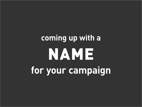## **coming up with a**  NAME **for your campaign**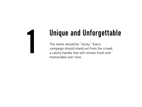

### **1 Unique and Unforgettable**

The name should be "sticky." Every campaign should stand out from the crowd, a catchy handle that will remain fresh and memorable over time.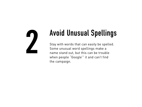

# **2 Avoid Unusual Spellings**<br>Stay with words that can easily be spelled.<br>Some unusual word spellings make a

Stay with words that can easily be spelled. Some unusual word spellings make a name stand out, but this can be trouble when people "Google'" it and can't find the campaign.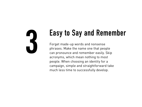

# **18 <b>Easy to Say and Remember**<br> **3** Forget made-up words and nonsense<br> **3 Easy to Say and honsense**

Forget made-up words and nonsense phrases. Make the name one that people can pronounce and remember easily. Skip acronyms, which mean nothing to most people. When choosing an identity for a campaign, simple and straightforward take much less time to successfully develop.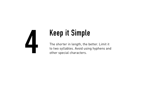

# **44 Keep it Simple<br>The shorter in length, the b<br>to two syllables. Avoid using**

The shorter in length, the better. Limit it to two syllables. Avoid using hyphens and other special characters.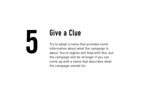**5 Give a Clue**<br>Try to adopt a name the information about wh

Try to adopt a name that provides some information about what the campaign is about. You're tagline will help with this, but the campaign will be stronger if you can come up with a name that describes what the campaign stands for.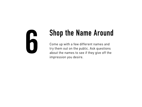

**6 6 Shop the Name Around**<br>Come up with a few different names and<br>try them out on the public. Ask questions Come up with a few different names and try them out on the public. Ask questions about the names to see if they give off the impression you desire.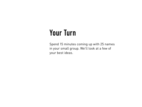#### **Your Turn**

Spend 15 minutes coming up with 25 names in your small group. We'll look at a few of your best ideas.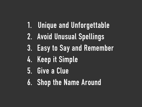- **1. Unique and Unforgettable**
- **2. Avoid Unusual Spellings**
- **3. Easy to Say and Remember**
- **4. Keep it Simple**
- **5. Give a Clue**
- **6. Shop the Name Around**